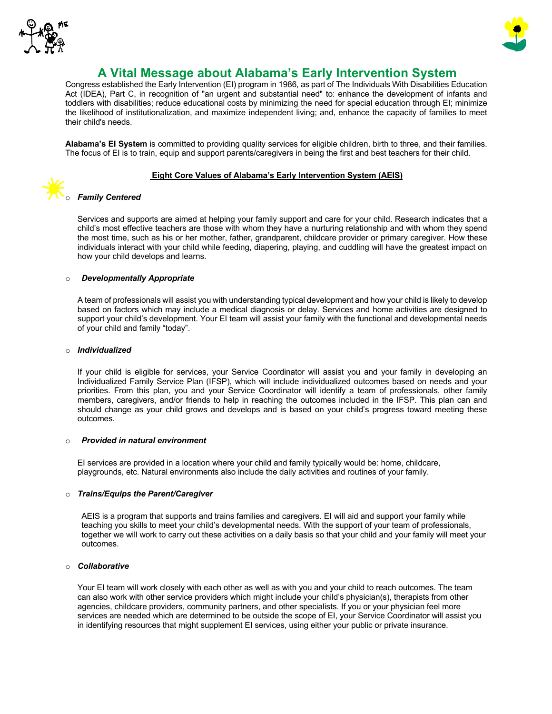



# **A Vital Message about Alabama's Early Intervention System**

Congress established the Early Intervention (EI) program in 1986, as part of The Individuals With Disabilities Education Act (IDEA), Part C, in recognition of "an urgent and substantial need" to: enhance the development of infants and toddlers with disabilities; reduce educational costs by minimizing the need for special education through EI; minimize the likelihood of institutionalization, and maximize independent living; and, enhance the capacity of families to meet their child's needs.

**Alabama's EI System** is committed to providing quality services for eligible children, birth to three, and their families. The focus of EI is to train, equip and support parents/caregivers in being the first and best teachers for their child.

# **Eight Core Values of Alabama's Early Intervention System (AEIS)**

# **Family Centered**

Services and supports are aimed at helping your family support and care for your child. Research indicates that a child's most effective teachers are those with whom they have a nurturing relationship and with whom they spend the most time, such as his or her mother, father, grandparent, childcare provider or primary caregiver. How these individuals interact with your child while feeding, diapering, playing, and cuddling will have the greatest impact on how your child develops and learns.

# o *Developmentally Appropriate*

A team of professionals will assist you with understanding typical development and how your child is likely to develop based on factors which may include a medical diagnosis or delay. Services and home activities are designed to support your child's development. Your EI team will assist your family with the functional and developmental needs of your child and family "today".

#### o *Individualized*

If your child is eligible for services, your Service Coordinator will assist you and your family in developing an Individualized Family Service Plan (IFSP), which will include individualized outcomes based on needs and your priorities. From this plan, you and your Service Coordinator will identify a team of professionals, other family members, caregivers, and/or friends to help in reaching the outcomes included in the IFSP. This plan can and should change as your child grows and develops and is based on your child's progress toward meeting these outcomes.

#### o *Provided in natural environment*

EI services are provided in a location where your child and family typically would be: home, childcare, playgrounds, etc. Natural environments also include the daily activities and routines of your family.

#### o *Trains/Equips the Parent/Caregiver*

AEIS is a program that supports and trains families and caregivers. EI will aid and support your family while teaching you skills to meet your child's developmental needs. With the support of your team of professionals, together we will work to carry out these activities on a daily basis so that your child and your family will meet your outcomes.

#### o *Collaborative*

Your EI team will work closely with each other as well as with you and your child to reach outcomes. The team can also work with other service providers which might include your child's physician(s), therapists from other agencies, childcare providers, community partners, and other specialists. If you or your physician feel more services are needed which are determined to be outside the scope of EI, your Service Coordinator will assist you in identifying resources that might supplement EI services, using either your public or private insurance.